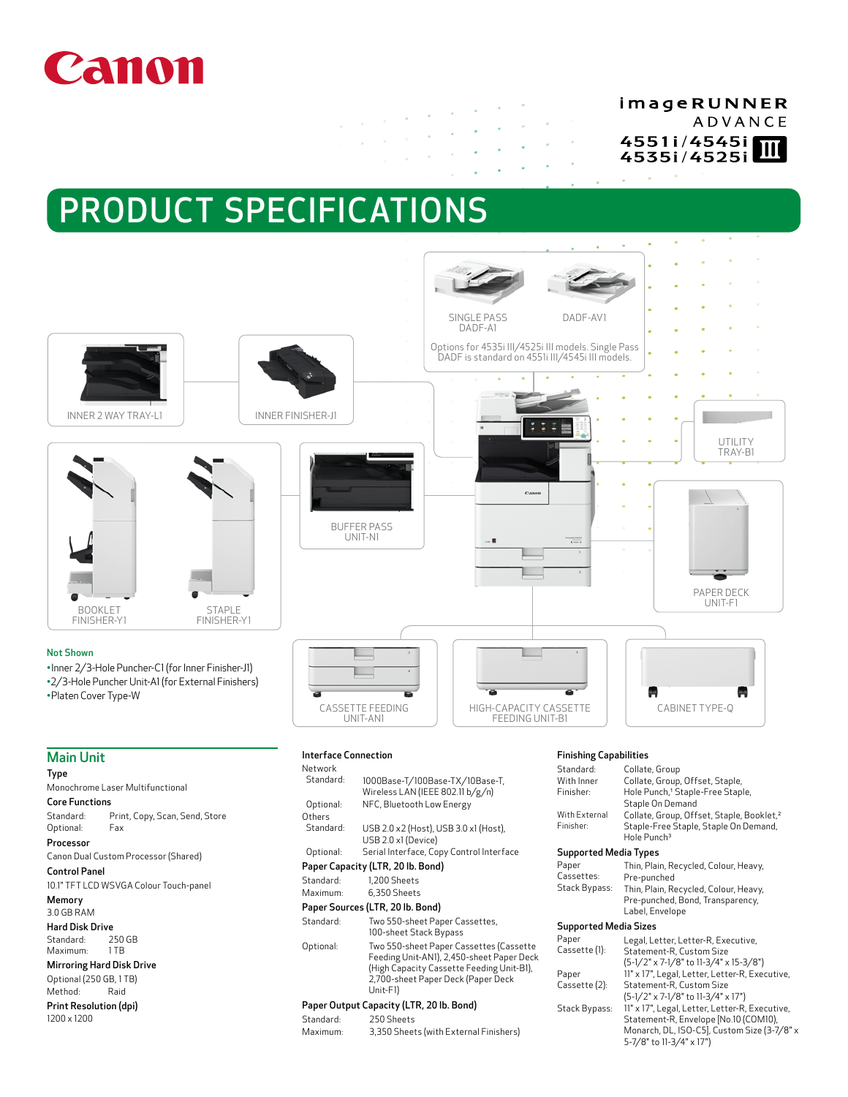# Canon

# imageRUNNER **ADVANCE** 4551i/4545i 4535i/4525i

# PRODUCT SPECIFICATIONS

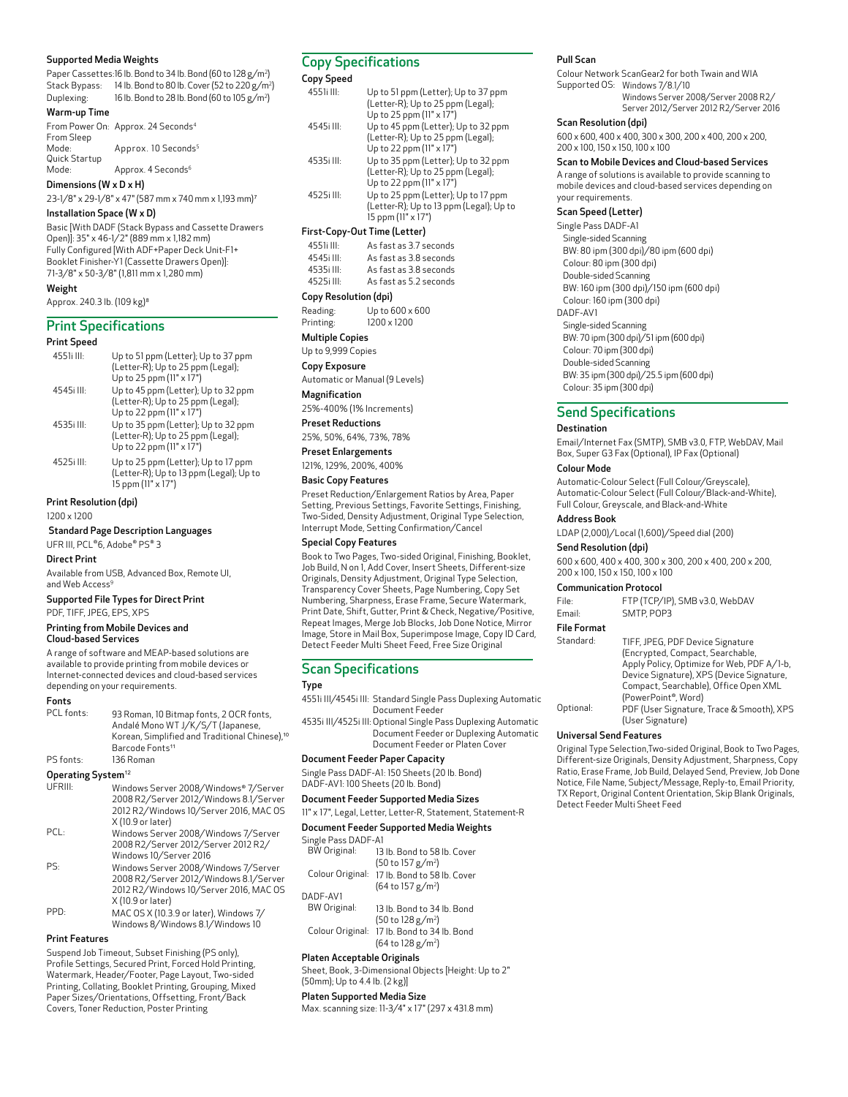### Supported Media Weights

Paper Cassettes:16 lb. Bond to 34 lb. Bond (60 to 128 g/m2 ) Stack Bypass: 14 lb. Bond to 80 lb. Cover (52 to 220 g/m2 ) Duplexing: 16 lb. Bond to 28 lb. Bond (60 to 105 g/m2 )

### Warm-up Time

From Power On: Approx. 24 Seconds<sup>4</sup> From Sleep Mode: Approx. 10 Seconds<sup>5</sup> Quick Startup Mode: Approx. 4 Seconds<sup>6</sup>

Dimensions (W x D x H) 23-1/8" x 29-1/8" x 47" (587 mm x 740 mm x 1,193 mm)<sup>7</sup>

# Installation Space (W x D)

Basic [With DADF (Stack Bypass and Cassette Drawers Open)]: 35" x 46-1/2" (889 mm x 1,182 mm) Fully Configured [With ADF+Paper Deck Unit-F1+ Booklet Finisher-Y1 (Cassette Drawers Open)]: 71-3/8" x 50-3/8" (1,811 mm x 1,280 mm)

# Weight

Approx. 240.3 lb. (109 kg)<sup>8</sup>

### Print Specifications

# Print Speed

| .          |                                                                                                      |
|------------|------------------------------------------------------------------------------------------------------|
| 4551i III: | Up to 51 ppm (Letter); Up to 37 ppm<br>(Letter-R); Up to 25 ppm (Legal);<br>Up to 25 ppm (11" x 17") |
| 4545illl:  | Up to 45 ppm (Letter); Up to 32 ppm<br>(Letter-R); Up to 25 ppm (Legal);<br>Up to 22 ppm (11" x 17") |
| 4535illl:  | Up to 35 ppm (Letter); Up to 32 ppm<br>(Letter-R); Up to 25 ppm (Legal);<br>Up to 22 ppm (11" x 17") |
| 4525i III: | Up to 25 ppm (Letter); Up to 17 ppm<br>(Letter-R); Up to 13 ppm (Legal); Up to<br>15 ppm (11" x 17") |

Print Resolution (dpi) 1200 x 1200

# Standard Page Description Languages

UFR III, PCL®6, Adobe® PS® 3

# Direct Print

Available from USB, Advanced Box, Remote UI, and Web Access<sup>9</sup>

Supported File Types for Direct Print PDF, TIFF, JPEG, EPS, XPS

### Printing from Mobile Devices and Cloud-based Services

A range of software and MEAP-based solutions are available to provide printing from mobile devices or Internet-connected devices and cloud-based services depending on your requirements.

### Fonts

| PCL fonts: | 93 Roman, 10 Bitmap fonts, 2 OCR fonts,<br>Andalé Mono WT J/K/S/T (Japanese,<br>Korean, Simplified and Traditional Chinese), <sup>10</sup><br>Barcode Fonts <sup>11</sup> |
|------------|---------------------------------------------------------------------------------------------------------------------------------------------------------------------------|
|            |                                                                                                                                                                           |
| PS fonts:  | 136 Roman                                                                                                                                                                 |
|            |                                                                                                                                                                           |

**Operating System<sup>12</sup>** Windows Server 2008/Windows® 7/Server 2008 R2/Server 2012/Windows 8.1/Server 2012 R2/Windows 10/Server 2016, MAC OS X (10.9 or later) PCL: Windows Server 2008/Windows 7/Server 2008 R2/Server 2012/Server 2012 R2/ Windows 10/Server 2016 PS: Windows Server 2008/Windows 7/Server 2008 R2/Server 2012/Windows 8.1/Server 2012 R2/Windows 10/Server 2016, MAC OS X (10.9 or later) PPD: MAC OS X (10.3.9 or later), Windows 7/ Windows 8/Windows 8.1/Windows 10

### Print Features

Suspend Job Timeout, Subset Finishing (PS only), Profile Settings, Secured Print, Forced Hold Printing, Watermark, Header/Footer, Page Layout, Two-sided Printing, Collating, Booklet Printing, Grouping, Mixed Paper Sizes/Orientations, Offsetting, Front/Back Covers, Toner Reduction, Poster Printing

# Copy Specifications

Copy Speed

| 4551i III: | Up to 51 ppm (Letter); Up to 37 ppm<br>(Letter-R); Up to 25 ppm (Legal);<br>Up to 25 ppm (11" x 17") |
|------------|------------------------------------------------------------------------------------------------------|
| 4545ill    | Up to 45 ppm (Letter); Up to 32 ppm<br>(Letter-R); Up to 25 ppm (Legal);<br>Up to 22 ppm (11" x 17") |
| 4535i III: | Up to 35 ppm (Letter); Up to 32 ppm<br>(Letter-R); Up to 25 ppm (Legal);<br>Up to 22 ppm (11" x 17") |
| 4525illl:  | Up to 25 ppm (Letter); Up to 17 ppm<br>(Letter-R); Up to 13 ppm (Legal); Up to<br>15 ppm (11" x 17") |
|            | First-Copy-Out Time (Letter)                                                                         |
| 4551i III: | As fast as 3.7 seconds                                                                               |
| 4545ill    | As fast as 3.8 seconds                                                                               |
| 4535i III: | As fast as 3.8 seconds                                                                               |
| 4525i III: | As fast as 5.2 seconds                                                                               |

### Copy Resolution (dpi)

Reading: Up to 600 x 600<br>Printing: 1200 x 1200 1200 x 1200

Multiple Copies

# Up to 9,999 Copies

Copy Exposure

Automatic or Manual (9 Levels)

Magnification

25%-400% (1% Increments)

Preset Reductions

### 25%, 50%, 64%, 73%, 78%

Preset Enlargements

121%, 129%, 200%, 400%

### Basic Copy Features

Preset Reduction/Enlargement Ratios by Area, Paper Setting, Previous Settings, Favorite Settings, Finishing, Two-Sided, Density Adjustment, Original Type Selection, Interrupt Mode, Setting Confirmation/Cancel

### Special Copy Features

Book to Two Pages, Two-sided Original, Finishing, Booklet, Job Build, N on 1, Add Cover, Insert Sheets, Different-size Originals, Density Adjustment, Original Type Selection, Transparency Cover Sheets, Page Numbering, Copy Set Numbering, Sharpness, Erase Frame, Secure Watermark, Print Date, Shift, Gutter, Print & Check, Negative/Positive, Repeat Images, Merge Job Blocks, Job Done Notice, Mirror Image, Store in Mail Box, Superimpose Image, Copy ID Card, Detect Feeder Multi Sheet Feed, Free Size Original

# Scan Specifications

### Type

- 4551i III/4545i III: Standard Single Pass Duplexing Automatic Document Feeder
- 4535i III/4525i III: Optional Single Pass Duplexing Automatic Document Feeder or Duplexing Automatic Document Feeder or Platen Cover

### Document Feeder Paper Capacity

Single Pass DADF-A1: 150 Sheets (20 lb. Bond) DADF-AV1: 100 Sheets (20 lb. Bond)

# Document Feeder Supported Media Sizes

11" x 17", Legal, Letter, Letter-R, Statement, Statement-R

### Document Feeder Supported Media Weights

| Single Pass DADF-A1 |                               |
|---------------------|-------------------------------|
| <b>BW</b> Original: | 13 lb. Bond to 58 lb. Cover   |
|                     | (50 to 157 g/m <sup>2</sup> ) |
| Colour Original:    | 17 lb. Bond to 58 lb. Cover   |
|                     | (64 to 157 g/m <sup>2</sup> ) |
| DADF-AV1            |                               |
| <b>BW Original:</b> | 13 lb. Bond to 34 lb. Bond    |
|                     | (50 to 128 g/m <sup>2</sup> ) |
| Colour Original:    | 17 lb. Bond to 34 lb. Bond    |
|                     | (64 to 128 g/m <sup>2</sup> ) |

# Platen Acceptable Originals

Sheet, Book, 3-Dimensional Objects [Height: Up to 2" (50mm); Up to 4.4 lb. (2 kg)]

# Platen Supported Media Size

Max. scanning size: 11-3/4" x 17" (297 x 431.8 mm)

# Pull Scan

Colour Network ScanGear2 for both Twain and WIA Supported OS: Windows 7/8.1/10 Windows Server 2008/Server 2008 R2/ Server 2012/Server 2012 R2/Server 2016

### Scan Resolution (dpi)

600 x 600, 400 x 400, 300 x 300, 200 x 400, 200 x 200, 200 x 100, 150 x 150, 100 x 100

### Scan to Mobile Devices and Cloud-based Services

A range of solutions is available to provide scanning to mobile devices and cloud-based services depending on your requirements.

### Scan Speed (Letter)

Single Pass DADF-A1 Single-sided Scanning BW: 80 ipm (300 dpi)/80 ipm (600 dpi) Colour: 80 ipm (300 dpi) Double-sided Scanning BW: 160 ipm (300 dpi)/150 ipm (600 dpi) Colour: 160 ipm (300 dpi) DADF-AV1 Single-sided Scanning

BW: 70 ipm (300 dpi)/51 ipm (600 dpi) Colour: 70 ipm (300 dpi) Double-sided Scanning BW: 35 ipm (300 dpi)/25.5 ipm (600 dpi)

Colour: 35 ipm (300 dpi)

# Send Specifications

### Destination

Email/Internet Fax (SMTP), SMB v3.0, FTP, WebDAV, Mail Box, Super G3 Fax (Optional), IP Fax (Optional)

### Colour Mode

Automatic-Colour Select (Full Colour/Greyscale), Automatic-Colour Select (Full Colour/Black-and-White), Full Colour, Greyscale, and Black-and-White

### Address Book

LDAP (2,000)/Local (1,600)/Speed dial (200)

# Send Resolution (dpi)

600 x 600, 400 x 400, 300 x 300, 200 x 400, 200 x 200, 200 x 100, 150 x 150, 100 x 100

### Communication Protocol

| File:  | FTP (TCP/IP), SMB v3.0, WebDAV |
|--------|--------------------------------|
| Email: | SMTP POP3                      |

# File Format

| Standard: | TIFF, JPEG, PDF Device Signature           |
|-----------|--------------------------------------------|
|           | (Encrypted, Compact, Searchable,           |
|           | Apply Policy, Optimize for Web, PDF A/1-b, |
|           | Device Signature), XPS (Device Signature,  |
|           | Compact, Searchable), Office Open XML      |
|           | (PowerPoint®, Word)                        |
| Optional: | PDF (User Signature, Trace & Smooth), XPS  |
|           | (User Signature)                           |

### Universal Send Features

Original Type Selection,Two-sided Original, Book to Two Pages, Different-size Originals, Density Adjustment, Sharpness, Copy Ratio, Erase Frame, Job Build, Delayed Send, Preview, Job Done Notice, File Name, Subject/Message, Reply-to, Email Priority, TX Report, Original Content Orientation, Skip Blank Originals, Detect Feeder Multi Sheet Feed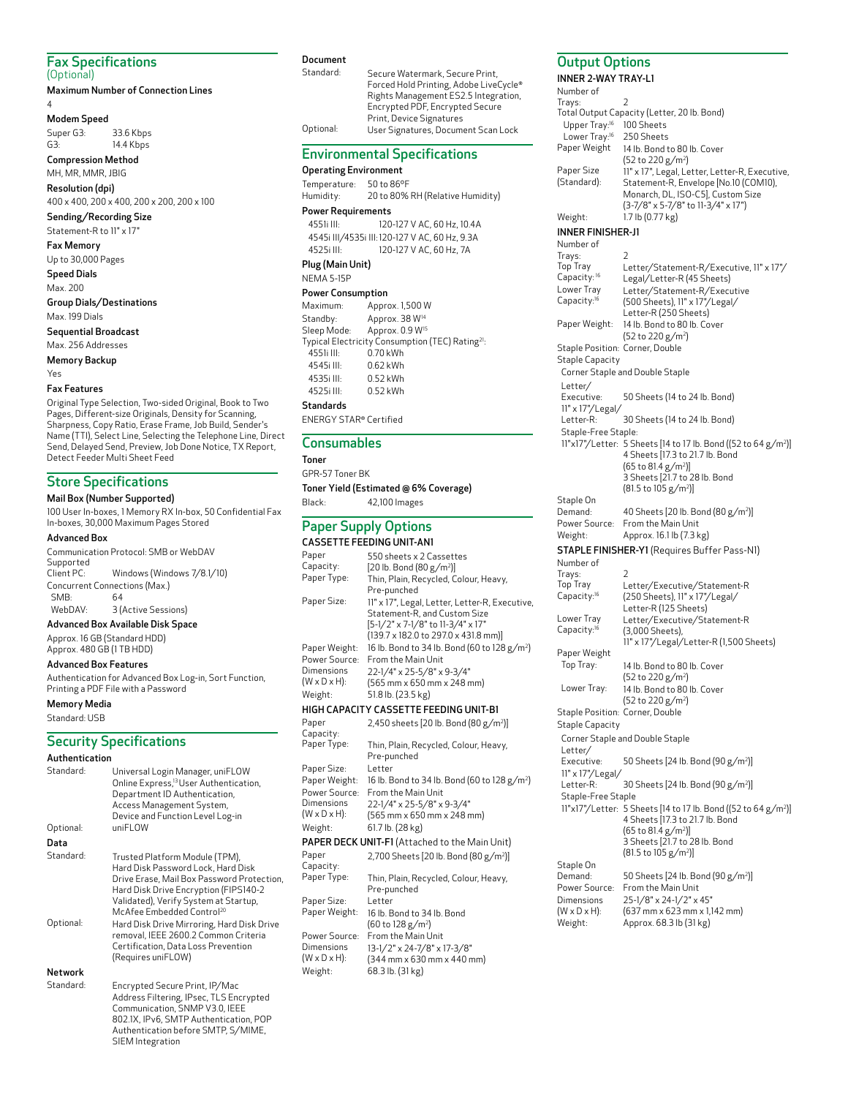### Fax Specifications (Optional)

Maximum Number of Connection Lines

### 4 Modem Speed

Super G3: 33.6 Kbps G3: 14.4 Kbps

Compression Method MH, MR, MMR, JBIG

Resolution (dpi)

400 x 400, 200 x 400, 200 x 200, 200 x 100 Sending/Recording Size

Statement-R to 11" x 17"

Fax Memory

Up to 30,000 Pages Speed Dials

Max. 200

Group Dials/Destinations Max. 199 Dials

Sequential Broadcast

Max. 256 Addresses Memory Backup

Yes

### Fax Features

Original Type Selection, Two-sided Original, Book to Two Pages, Different-size Originals, Density for Scanning, Sharpness, Copy Ratio, Erase Frame, Job Build, Sender's Name (TTI), Select Line, Selecting the Telephone Line, Direct Send, Delayed Send, Preview, Job Done Notice, TX Report, Detect Feeder Multi Sheet Feed

# Store Specifications

Mail Box (Number Supported) 100 User In-boxes, 1 Memory RX In-box, 50 Confidential Fax In-boxes, 30,000 Maximum Pages Stored

### Advanced Box

Communication Protocol: SMB or WebDAV Supported<br>Client PC: Windows (Windows 7/8.1/10) Concurrent Connections (Max.) SMB: 64 WebDAV: 3 (Active Sessions)

# Advanced Box Available Disk Space

Approx. 16 GB (Standard HDD) Approx. 480 GB (1 TB HDD)

### Advanced Box Features

Authentication for Advanced Box Log-in, Sort Function, Printing a PDF File with a Password

Memory Media Standard: USB

# Security Specifications

# Authentication

Standard: Universal Login Manager, uniFLOW Online Express,13 User Authentication, Department ID Authentication, Access Management System, Device and Function Level Log-in Optional: uniFLOW Data Standard: Trusted Platform Module (TPM), Hard Disk Password Lock, Hard Disk Drive Erase, Mail Box Password Protection, Hard Disk Drive Encryption (FIPS140-2 Validated), Verify System at Startup,<br>McAfee Embedded Control<sup>20</sup> Optional: Hard Disk Drive Mirroring, Hard Disk Drive removal, IEEE 2600.2 Common Criteria Certification, Data Loss Prevention (Requires uniFLOW) Network<br>Standard: Encrypted Secure Print, IP/Mac

Address Filtering, IPsec, TLS Encrypted Communication, SNMP V3.0, IEEE 802.1X, IPv6, SMTP Authentication, POP Authentication before SMTP, S/MIME, SIEM Integration

### Document

Standard: Secure Watermark, Secure Print, Forced Hold Printing, Adobe LiveCycle Rights Management ES2.5 Integration, Encrypted PDF, Encrypted Secure Print, Device Signatures Optional: User Signatures, Document Scan Lock

# Environmental Specifications

## Operating Environment

Temperature: 50 to 86°F<br>Humidity: 20 to 80% 20 to 80% RH (Relative Humidity)

# Power Requirements

4551i III: 120-127 V AC, 60 Hz, 10.4A 4545i III/4535i III:120-127 V AC, 60 Hz, 9.3A 4525i III: 120-127 V AC, 60 Hz, 7A

# Plug (Main Unit)

# NEMA 5-15P

Power Consumption Maximum: Approx. 1,500 W Standby: Approx. 38 W<sup>14</sup> Sleep Mode: Approx. 0.9 W<sup>15</sup> Typical Electricity Consumption (TEC) Rating21: 4551i III: 0.70 kWh 4545i III: 0.62 kWh 4535i III: 0.52 kWh 4525i III: 0.52 kWh

# **Standards**

ENERGY STAR® Certified

# **Consumables**

Toner

# GPR-57 Toner BK

Toner Yield (Estimated @ 6% Coverage)

# Black: 42,100 Images

# Paper Supply Options

|                                         | CASSETTE FEEDING UNIT-AN1                                                      |
|-----------------------------------------|--------------------------------------------------------------------------------|
| Paper                                   | 550 sheets x 2 Cassettes                                                       |
| Capacity:                               | [20 lb. Bond $(80 g/m^2)$ ]                                                    |
| Paper Type:                             | Thin, Plain, Recycled, Colour, Heavy,                                          |
|                                         | Pre-punched                                                                    |
| Paper Size:                             | 11" x 17", Legal, Letter, Letter-R, Executive,                                 |
|                                         | Statement-R, and Custom Size                                                   |
|                                         | [5-1/2" x 7-1/8" to 11-3/4" x 17"<br>(139.7 x 182.0 to 297.0 x 431.8 mm)]      |
| Paper Weight:                           | 16 lb. Bond to 34 lb. Bond (60 to 128 g/m <sup>2</sup> )                       |
| Power Source:                           | From the Main Unit                                                             |
| Dimensions                              | 22-1/4" x 25-5/8" x 9-3/4"                                                     |
| $(W \times D \times H)$ :               | (565 mm x 650 mm x 248 mm)                                                     |
| Weight:                                 | 51.8 lb. (23.5 kg)                                                             |
|                                         | HIGH CAPACITY CASSETTE FEEDING UNIT-B1                                         |
| Paper                                   | 2,450 sheets [20 lb. Bond (80 g/m <sup>2</sup> )]                              |
| Capacity:                               |                                                                                |
| Paper Type:                             | Thin, Plain, Recycled, Colour, Heavy,                                          |
|                                         | Pre-punched                                                                    |
| Paper Size:                             | Letter                                                                         |
| Paper Weight:<br>Power Source:          | 16 lb. Bond to 34 lb. Bond (60 to 128 g/m <sup>2</sup> )<br>From the Main Unit |
| Dimensions                              | 22-1/4" x 25-5/8" x 9-3/4"                                                     |
| $(W \times D \times H)$ :               | (565 mm x 650 mm x 248 mm)                                                     |
| Weight:                                 | 61.7 lb. (28 kg)                                                               |
|                                         | <b>PAPER DECK UNIT-F1 (</b> Attached to the Main Unit)                         |
| Paper                                   | 2,700 Sheets [20 lb. Bond (80 g/m <sup>2</sup> )]                              |
| Capacity:                               |                                                                                |
| Paper Type:                             | Thin, Plain, Recycled, Colour, Heavy,                                          |
|                                         | Pre-punched                                                                    |
| Paper Size:                             | Letter                                                                         |
| Paper Weight:                           | 16 lb. Bond to 34 lb. Bond                                                     |
|                                         | $(60 \text{ to } 128 \text{ g/m}^2)$                                           |
| Power Source:                           | From the Main Unit                                                             |
| Dimensions<br>$(W \times D \times H)$ : | 13-1/2" x 24-7/8" x 17-3/8"                                                    |
| Weight:                                 | (344 mm x 630 mm x 440 mm)<br>68.3 lb. (31 kg)                                 |
|                                         |                                                                                |

# Output Options INNER 2-WAY TRAY-L1

Number of Trays: Total Output Capacity (Letter, 20 lb. Bond)<br>Upper Tray:<sup>16</sup> 100 Sheets Upper Tray:<sup>16</sup> Lower Tray:<sup>16</sup> 250 Sheets<br>Paper Weight 14 lb. Bond t 14 lb. Bond to 80 lb. Cover (52 to 220 g/m2 ) Paper Size (Standard): 11" x 17", Legal, Letter, Letter-R, Executive, Statement-R, Envelope [No.10 (COM10), Monarch, DL, ISO-C5], Custom Size (3-7/8" x 5-7/8" to 11-3/4" x 17") Weight: 1.7 lb (0.77 kg) INNER FINISHER-J1 Number of Trays: 2 Top<sup>'</sup>Tray Capacity: 16 Letter/Statement-R/Executive, 11" x 17"/ Legal/Letter-R (45 Sheets) Lower Tray Capacity:<sup>16</sup> Letter/Statement-R/Executive (500 Sheets), 11" x 17"/Legal/ Letter-R (250 Sheets) Paper Weight: 14 lb. Bond to 80 lb. Cover (52 to 220 g/m2 ) Staple Position: Corner, Double Staple Capacity Corner Staple and Double Staple Letter/<br>Executive: 50 Sheets (14 to 24 lb. Bond) 11" x 17"/Legal/ 30 Sheets (14 to 24 lb. Bond) Staple-Free Staple: 11"x17"/Letter: 5 Sheets [14 to 17 lb. Bond ((52 to 64 g/m2 )] 4 Sheets [17.3 to 21.7 lb. Bond (65 to 81.4 g/m2 )] 3 Sheets [21.7 to 28 lb. Bond (81.5 to 105 g/m2 )] Staple On Demand: 40 Sheets [20 lb. Bond (80 g/m2 )] Power Source: From the Main Unit<br>Weight: Approx. 16.1 lb (7.3 k Approx. 16.1 lb (7.3 kg) STAPLE FINISHER-Y1 (Requires Buffer Pass-N1) Number of Trays: 2 Top Tray Capacity:<sup>16</sup> Letter/Executive/Statement-R (250 Sheets), 11" x 17"/Legal/ Letter-R (125 Sheets) Lower Tray Capacity:<sup>16</sup> Letter/Executive/Statement-R (3,000 Sheets), 11" x 17"/Legal/Letter-R (1,500 Sheets) Paper Weight Top Tray: 14 lb. Bond to 80 lb. Cover (52 to 220 g/m2 ) Lower Tray: 14 lb. Bond to 80 lb. Cover (52 to 220 g/m2 ) Staple Position: Corner, Double Staple Capacity Corner Staple and Double Staple Letter/<br>Executive: Executive: 50 Sheets [24 lb. Bond (90 g/m2 )] --<br>11" x 17"/Legal/<br>Letter-R: Letter-R: 30 Sheets [24 lb. Bond (90 g/m2 )] Staple-Free Staple 11"x17"/Letter: 5 Sheets [14 to 17 lb. Bond ((52 to 64 g/m2 )] 4 Sheets [17.3 to 21.7 lb. Bond (65 to 81.4 g/m2 )] 3 Sheets [21.7 to 28 lb. Bond (81.5 to 105 g/m2 )] Staple On Demand: 50 Sheets [24 lb. Bond (90 g/m2 )] Power Source: From the Main Unit Dimensions  $(W \times D \times H)$ : 25-1/8" x 24-1/2" x 45" (637 mm x 623 mm x 1,142 mm) Weight: Approx. 68.3 lb (31 kg)